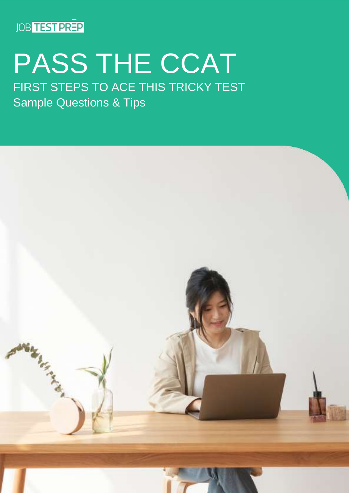

### PASS THE CCAT FIRST STEPS TO ACE THIS TRICKY TEST

Sample Questions & Tips

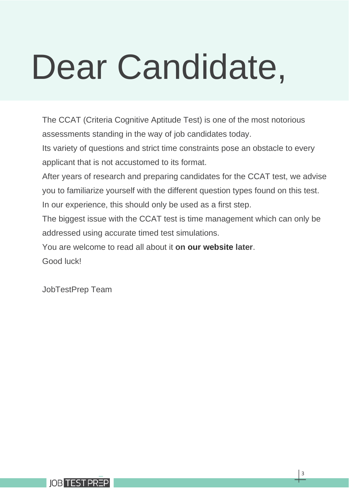# Dear Candidate,

The CCAT (Criteria Cognitive Aptitude Test) is one of the most notorious assessments standing in the way of job candidates today.

Its variety of questions and strict time constraints pose an obstacle to every applicant that is not accustomed to its format.

After years of research and preparing candidates for the CCAT test, we advise you to familiarize yourself with the different question types found on this test. In our experience, this should only be used as a first step.

The biggest issue with the CCAT test is time management which can only be addressed using accurate timed test simulations.

You are welcome to read all about it **on [our website](https://www.jobtestprep.com/criteria-ccat?utm_source=pdf+guide&utm_medium=pdf&utm_campaign=ccat-pdf&utm_term=ccat) later**.

Good luck!

JobTestPrep Team

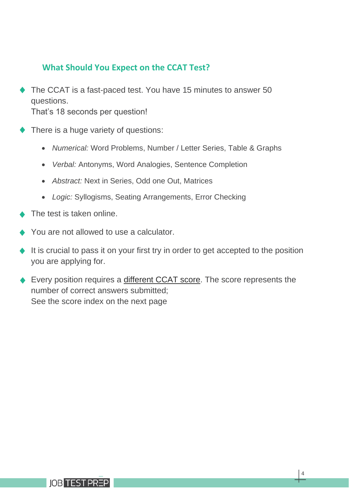#### **What Should You Expect on the CCAT Test?**

The CCAT is a fast-paced test. You have 15 minutes to answer 50 questions.

That's 18 seconds per question!

- There is a huge variety of questions:
	- *Numerical:* Word Problems, Number / Letter Series, Table & Graphs
	- *Verbal:* Antonyms, Word Analogies, Sentence Completion
	- *Abstract:* Next in Series, Odd one Out, Matrices
	- *Logic:* Syllogisms, Seating Arrangements, Error Checking
- The test is taken online.
- You are not allowed to use a calculator.
- It is crucial to pass it on your first try in order to get accepted to the position you are applying for.
- ◆ Every position requires a [different CCAT score.](https://www.jobtestprep.com/ccat-test-score?utm_source=pdf+guide&utm_medium=pdf&utm_campaign=ccat-pdf&utm_id=ccat-pdf&utm_term=ccat) The score represents the number of correct answers submitted; See the score index on the next page

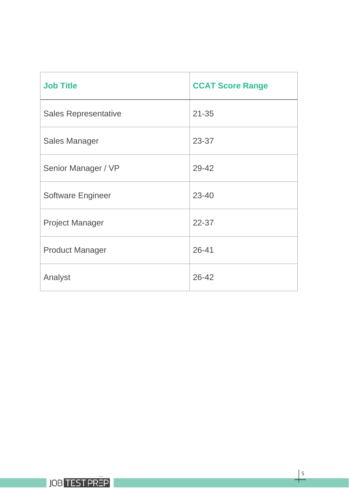| <b>Job Title</b>            | <b>CCAT Score Range</b> |
|-----------------------------|-------------------------|
| <b>Sales Representative</b> | $21 - 35$               |
| <b>Sales Manager</b>        | 23-37                   |
| Senior Manager / VP         | 29-42                   |
| <b>Software Engineer</b>    | 23-40                   |
| <b>Project Manager</b>      | $22 - 37$               |
| <b>Product Manager</b>      | $26 - 41$               |
| Analyst                     | 26-42                   |

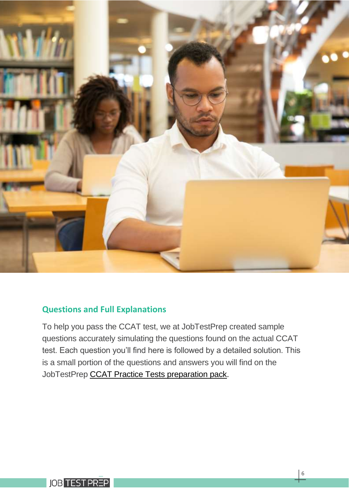

#### **Questions and Full Explanations**

To help you pass the CCAT test, we at JobTestPrep created sample questions accurately simulating the questions found on the actual CCAT test. Each question you'll find here is followed by a detailed solution. This is a small portion of the questions and answers you will find on the JobTestPrep [CCAT Practice Tests preparation pack.](https://www.jobtestprep.com/criteria-ccat?utm_source=pdf+guide&utm_medium=pdf&utm_campaign=ccat-pdf&utm_term=ccat)

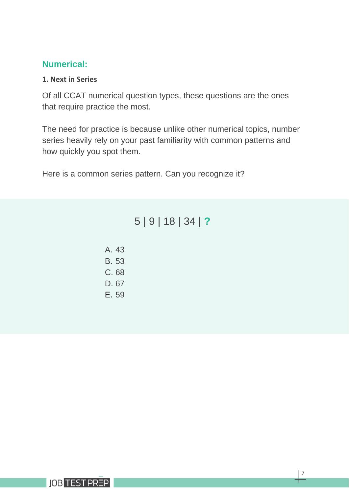#### **Numerical:**

#### **1. Next in Series**

Of all CCAT numerical question types, these questions are the ones that require practice the most.

The need for practice is because unlike other numerical topics, number series heavily rely on your past familiarity with common patterns and how quickly you spot them.

Here is a common series pattern. Can you recognize it?

#### 5 | 9 | 18 | 34 | **?**

| A. 43        |
|--------------|
| <b>B.</b> 53 |
| C. 68        |
| D. 67        |
| E. 59        |

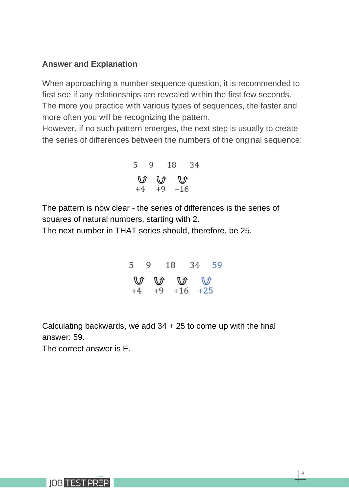#### **Answer and Explanation**

When approaching a number sequence question, it is recommended to first see if any relationships are revealed within the first few seconds. The more you practice with various types of sequences, the faster and more often you will be recognizing the pattern.

However, if no such pattern emerges, the next step is usually to create the series of differences between the numbers of the original sequence:

5 9 18 34  
\n
$$
\begin{array}{ccc}\n\bigvee & \bigvee & \bigvee & \cdots & \bigvee \\
+4 & +9 & +16 & \end{array}
$$

The pattern is now clear - the series of differences is the series of squares of natural numbers, starting with 2.

The next number in THAT series should, therefore, be 25.

5 9 18 34 59  $\mathcal{M}$ ℿ  $+9$   $+16$   $+25$ 

Calculating backwards, we add 34 + 25 to come up with the final answer: 59.

The correct answer is E.

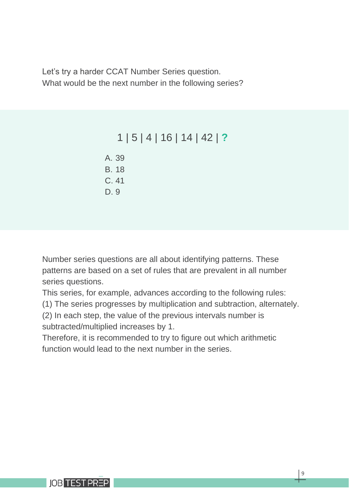Let's try a harder CCAT Number Series question. What would be the next number in the following series?

#### 1 | 5 | 4 | 16 | 14 | 42 | **?**

A. 39 B. 18 C. 41 D. 9

Number series questions are all about identifying patterns. These patterns are based on a set of rules that are prevalent in all number series questions.

This series, for example, advances according to the following rules:

(1) The series progresses by multiplication and subtraction, alternately.

(2) In each step, the value of the previous intervals number is subtracted/multiplied increases by 1.

Therefore, it is recommended to try to figure out which arithmetic function would lead to the next number in the series.

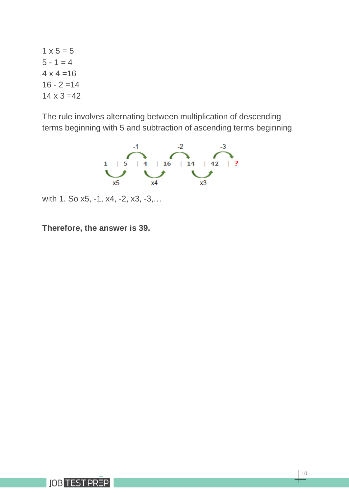$1 \times 5 = 5$  $5 - 1 = 4$  $4 \times 4 = 16$  $16 - 2 = 14$  $14 \times 3 = 42$ 

The rule involves alternating between multiplication of descending terms beginning with 5 and subtraction of ascending terms beginning



with 1. So x5, -1, x4, -2, x3, -3,…

**Therefore, the answer is 39.**

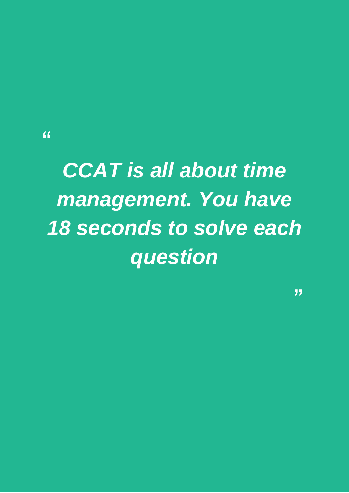"

## *CCAT is all about time management. You have 18 seconds to solve each question*

"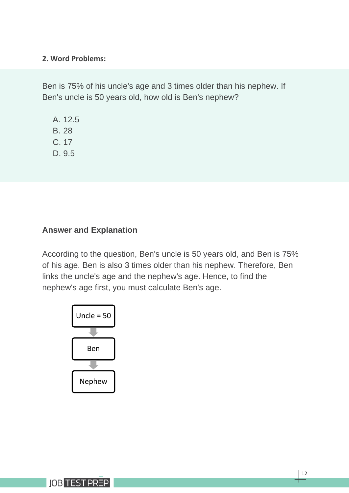#### **2. Word Problems:**

Ben is 75% of his uncle's age and 3 times older than his nephew. If Ben's uncle is 50 years old, how old is Ben's nephew?

A. 12.5 B. 28 C. 17 D. 9.5

#### **Answer and Explanation**

According to the question, Ben's uncle is 50 years old, and Ben is 75% of his age. Ben is also 3 times older than his nephew. Therefore, Ben links the uncle's age and the nephew's age. Hence, to find the nephew's age first, you must calculate Ben's age.



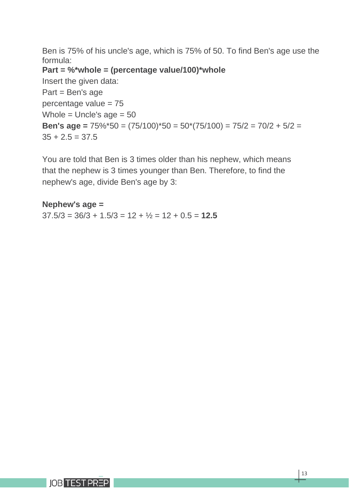Ben is 75% of his uncle's age, which is 75% of 50. To find Ben's age use the formula:

**Part = %\*whole = (percentage value/100)\*whole**

Insert the given data: Part = Ben's age percentage value = 75 Whole = Uncle's  $age = 50$ **Ben's age =** 75%\*50 = (75/100)\*50 = 50\*(75/100) = 75/2 = 70/2 + 5/2 =  $35 + 2.5 = 37.5$ 

You are told that Ben is 3 times older than his nephew, which means that the nephew is 3 times younger than Ben. Therefore, to find the nephew's age, divide Ben's age by 3:

#### **Nephew's age =**

 $37.5/3 = 36/3 + 1.5/3 = 12 + \frac{1}{2} = 12 + 0.5 = 12.5$ 

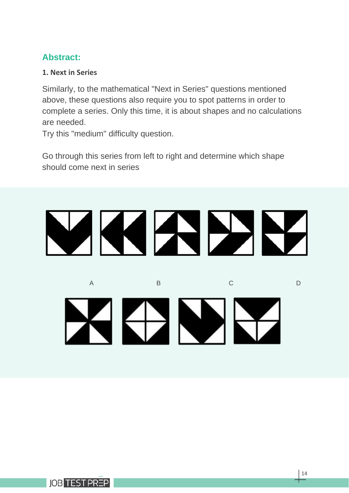#### **Abstract:**

#### **1. Next in Series**

Similarly, to the mathematical "Next in Series" questions mentioned above, these questions also require you to spot patterns in order to complete a series. Only this time, it is about shapes and no calculations are needed.

Try this "medium" difficulty question.

Go through this series from left to right and determine which shape should come next in series

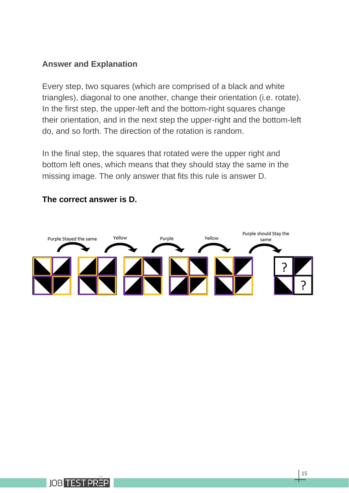#### **Answer and Explanation**

Every step, two squares (which are comprised of a black and white triangles), diagonal to one another, change their orientation (i.e. rotate). In the first step, the upper-left and the bottom-right squares change their orientation, and in the next step the upper-right and the bottom-left do, and so forth. The direction of the rotation is random.

In the final step, the squares that rotated were the upper right and bottom left ones, which means that they should stay the same in the missing image. The only answer that fits this rule is answer D.



#### **The correct answer is D.**

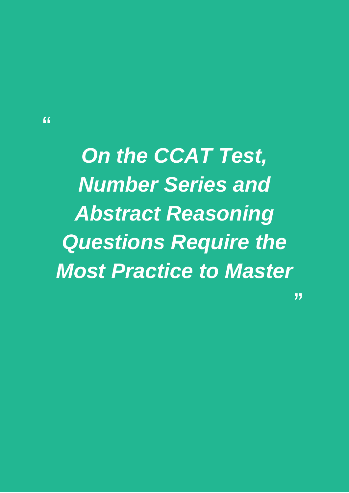$\epsilon$ 

*On the CCAT Test, Number Series and Abstract Reasoning Questions Require the Most Practice to Master*

"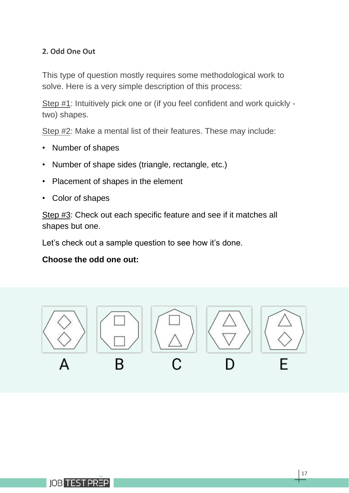#### **2. Odd One Out**

This type of question mostly requires some methodological work to solve. Here is a very simple description of this process:

Step #1: Intuitively pick one or (if you feel confident and work quickly two) shapes.

Step #2: Make a mental list of their features. These may include:

- Number of shapes
- Number of shape sides (triangle, rectangle, etc.)
- Placement of shapes in the element
- Color of shapes

Step #3: Check out each specific feature and see if it matches all shapes but one.

Let's check out a sample question to see how it's done.

#### **Choose the odd one out:**

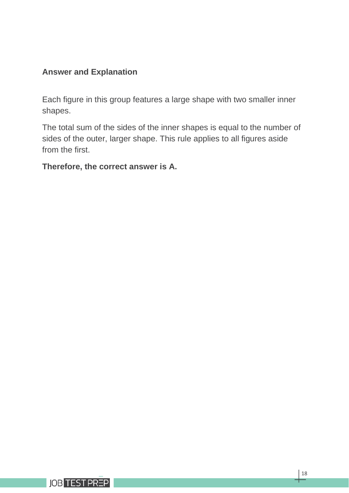#### **Answer and Explanation**

Each figure in this group features a large shape with two smaller inner shapes.

The total sum of the sides of the inner shapes is equal to the number of sides of the outer, larger shape. This rule applies to all figures aside from the first.

#### **Therefore, the correct answer is A.**

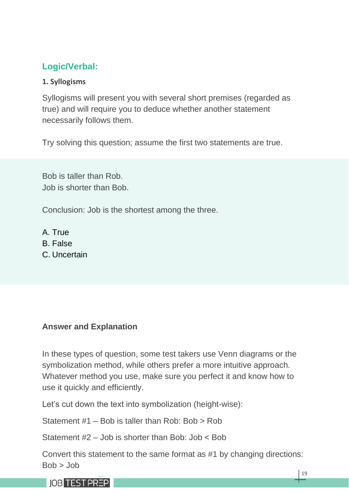#### **Logic/Verbal:**

#### **1. Syllogisms**

Syllogisms will present you with several short premises (regarded as true) and will require you to deduce whether another statement necessarily follows them.

Try solving this question; assume the first two statements are true.

Bob is taller than Rob. Job is shorter than Bob.

Conclusion: Job is the shortest among the three.

A. True B. False C. Uncertain

#### **Answer and Explanation**

In these types of question, some test takers use Venn diagrams or the symbolization method, while others prefer a more intuitive approach. Whatever method you use, make sure you perfect it and know how to use it quickly and efficiently.

Let's cut down the text into symbolization (height-wise):

Statement #1 – Bob is taller than Rob: Bob > Rob

Statement #2 – Job is shorter than Bob: Job < Bob

Convert this statement to the same format as #1 by changing directions:  $Bob > Job$ 

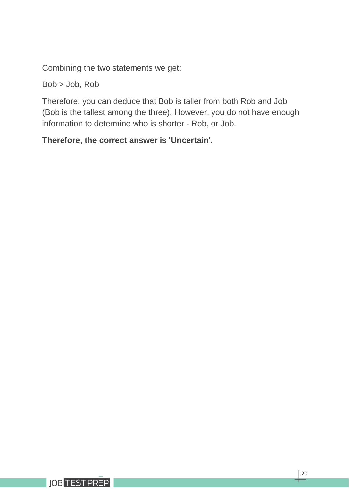Combining the two statements we get:

Bob > Job, Rob

Therefore, you can deduce that Bob is taller from both Rob and Job (Bob is the tallest among the three). However, you do not have enough information to determine who is shorter - Rob, or Job.

#### **Therefore, the correct answer is 'Uncertain'.**

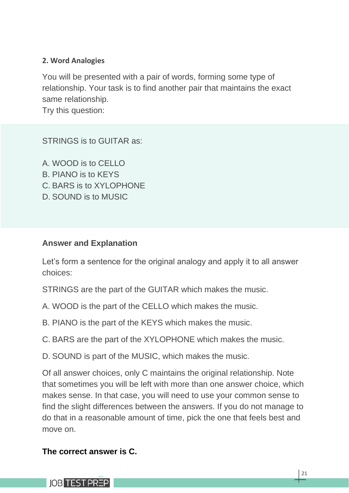#### **2. Word Analogies**

You will be presented with a pair of words, forming some type of relationship. Your task is to find another pair that maintains the exact same relationship.

Try this question:

STRINGS is to GUITAR as:

A. WOOD is to CELLO B. PIANO is to KEYS C. BARS is to XYLOPHONE D. SOUND is to MUSIC

#### **Answer and Explanation**

Let's form a sentence for the original analogy and apply it to all answer choices:

STRINGS are the part of the GUITAR which makes the music.

- A. WOOD is the part of the CELLO which makes the music.
- B. PIANO is the part of the KEYS which makes the music.
- C. BARS are the part of the XYLOPHONE which makes the music.
- D. SOUND is part of the MUSIC, which makes the music.

Of all answer choices, only C maintains the original relationship. Note that sometimes you will be left with more than one answer choice, which makes sense. In that case, you will need to use your common sense to find the slight differences between the answers. If you do not manage to do that in a reasonable amount of time, pick the one that feels best and move on.

#### **The correct answer is C.**

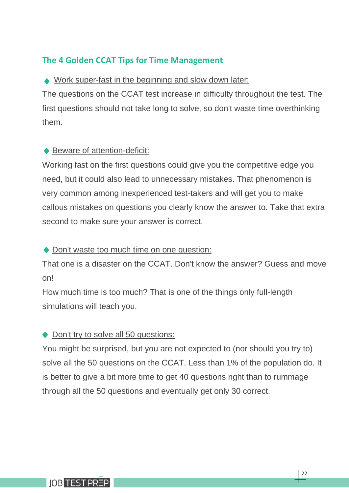#### **The 4 Golden CCAT Tips for Time Management**

#### ◆ Work super-fast in the beginning and slow down later:

The questions on the CCAT test increase in difficulty throughout the test. The first questions should not take long to solve, so don't waste time overthinking them.

#### ◆ Beware of attention-deficit:

Working fast on the first questions could give you the competitive edge you need, but it could also lead to unnecessary mistakes. That phenomenon is very common among inexperienced test-takers and will get you to make callous mistakes on questions you clearly know the answer to. Take that extra second to make sure your answer is correct.

#### ◆ Don't waste too much time on one question:

That one is a disaster on the CCAT. Don't know the answer? Guess and move on!

How much time is too much? That is one of the things only full-length simulations will teach you.

#### ◆ Don't try to solve all 50 questions:

You might be surprised, but you are not expected to (nor should you try to) solve all the 50 questions on the CCAT. Less than 1% of the population do. It is better to give a bit more time to get 40 questions right than to rummage through all the 50 questions and eventually get only 30 correct.

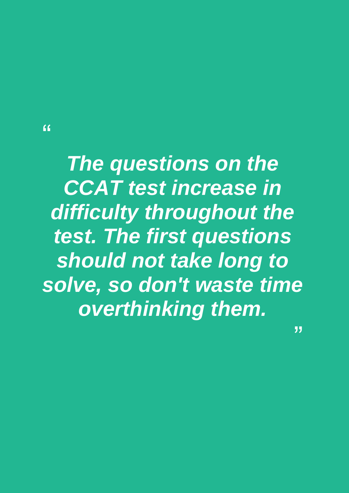$\epsilon$ 

*The questions on the CCAT test increase in difficulty throughout the test. The first questions should not take long to solve, so don't waste time overthinking them.* 

"